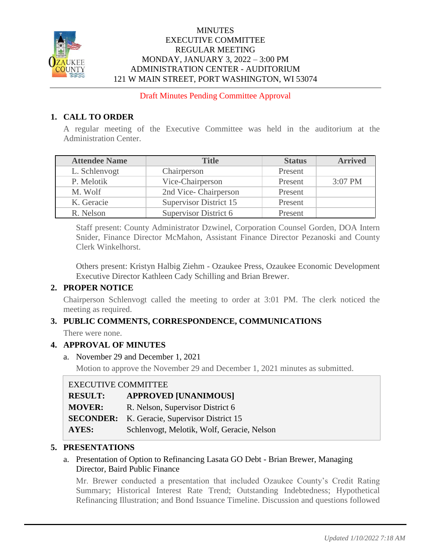

#### **MINUTES** EXECUTIVE COMMITTEE REGULAR MEETING MONDAY, JANUARY 3, 2022 – 3:00 PM ADMINISTRATION CENTER - AUDITORIUM 121 W MAIN STREET, PORT WASHINGTON, WI 53074

Draft Minutes Pending Committee Approval

## **1. CALL TO ORDER**

A regular meeting of the Executive Committee was held in the auditorium at the Administration Center.

| <b>Attendee Name</b> | <b>Title</b>                  | <b>Status</b> | <b>Arrived</b> |
|----------------------|-------------------------------|---------------|----------------|
| L. Schlenvogt        | Chairperson                   | Present       |                |
| P. Melotik           | Vice-Chairperson              | Present       | 3:07 PM        |
| M. Wolf              | 2nd Vice-Chairperson          | Present       |                |
| K. Geracie           | <b>Supervisor District 15</b> | Present       |                |
| R. Nelson            | Supervisor District 6         | Present       |                |

Staff present: County Administrator Dzwinel, Corporation Counsel Gorden, DOA Intern Snider, Finance Director McMahon, Assistant Finance Director Pezanoski and County Clerk Winkelhorst.

Others present: Kristyn Halbig Ziehm - Ozaukee Press, Ozaukee Economic Development Executive Director Kathleen Cady Schilling and Brian Brewer.

## **2. PROPER NOTICE**

Chairperson Schlenvogt called the meeting to order at 3:01 PM. The clerk noticed the meeting as required.

## **3. PUBLIC COMMENTS, CORRESPONDENCE, COMMUNICATIONS**

There were none.

#### **4. APPROVAL OF MINUTES**

a. November 29 and December 1, 2021

Motion to approve the November 29 and December 1, 2021 minutes as submitted.

#### EXECUTIVE COMMITTEE

| <b>RESULT:</b> | <b>APPROVED [UNANIMOUS]</b>                         |
|----------------|-----------------------------------------------------|
| <b>MOVER:</b>  | R. Nelson, Supervisor District 6                    |
|                | <b>SECONDER:</b> K. Geracie, Supervisor District 15 |
| <b>AYES:</b>   | Schlenvogt, Melotik, Wolf, Geracie, Nelson          |

#### **5. PRESENTATIONS**

#### a. Presentation of Option to Refinancing Lasata GO Debt - Brian Brewer, Managing Director, Baird Public Finance

Mr. Brewer conducted a presentation that included Ozaukee County's Credit Rating Summary; Historical Interest Rate Trend; Outstanding Indebtedness; Hypothetical Refinancing Illustration; and Bond Issuance Timeline. Discussion and questions followed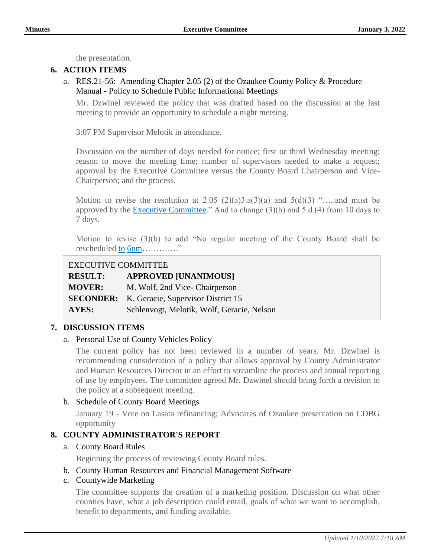the presentation.

# **6. ACTION ITEMS**

a. RES.21-56: Amending Chapter 2.05 (2) of the Ozaukee County Policy & Procedure Manual - Policy to Schedule Public Informational Meetings

Mr. Dzwinel reviewed the policy that was drafted based on the discussion at the last meeting to provide an opportunity to schedule a night meeting.

3:07 PM Supervisor Melotik in attendance.

Discussion on the number of days needed for notice; first or third Wednesday meeting; reason to move the meeting time; number of supervisors needed to make a request; approval by the Executive Committee versus the County Board Chairperson and Vice-Chairperson; and the process.

Motion to revise the resolution at 2.05  $(2)(a)3.a(3)(a)$  and  $5(d)(3)$  "....and must be approved by the Executive Committee." And to change  $(3)(b)$  and  $5.d.(4)$  from 10 days to 7 days.

Motion to revise (3)(b) to add "No regular meeting of the County Board shall be rescheduled <u>to 6pm</u>.............."

### EXECUTIVE COMMITTEE

| <b>RESULT:</b> | <b>APPROVED [UNANIMOUS]</b>                         |
|----------------|-----------------------------------------------------|
| <b>MOVER:</b>  | M. Wolf, 2nd Vice-Chairperson                       |
|                | <b>SECONDER:</b> K. Geracie, Supervisor District 15 |
| AYES:          | Schlenvogt, Melotik, Wolf, Geracie, Nelson          |

## **7. DISCUSSION ITEMS**

#### a. Personal Use of County Vehicles Policy

The current policy has not been reviewed in a number of years. Mr. Dzwinel is recommending consideration of a policy that allows approval by County Administrator and Human Resources Director in an effort to streamline the process and annual reporting of use by employees. The committee agreed Mr. Dzwinel should bring forth a revision to the policy at a subsequent meeting.

#### b. Schedule of County Board Meetings

January 19 - Vote on Lasata refinancing; Advocates of Ozaukee presentation on CDBG opportunity

## **8. COUNTY ADMINISTRATOR'S REPORT**

#### a. County Board Rules

Beginning the process of reviewing County Board rules.

#### b. County Human Resources and Financial Management Software

#### c. Countywide Marketing

The committee supports the creation of a marketing position. Discussion on what other counties have, what a job description could entail, goals of what we want to accomplish, benefit to departments, and funding available.